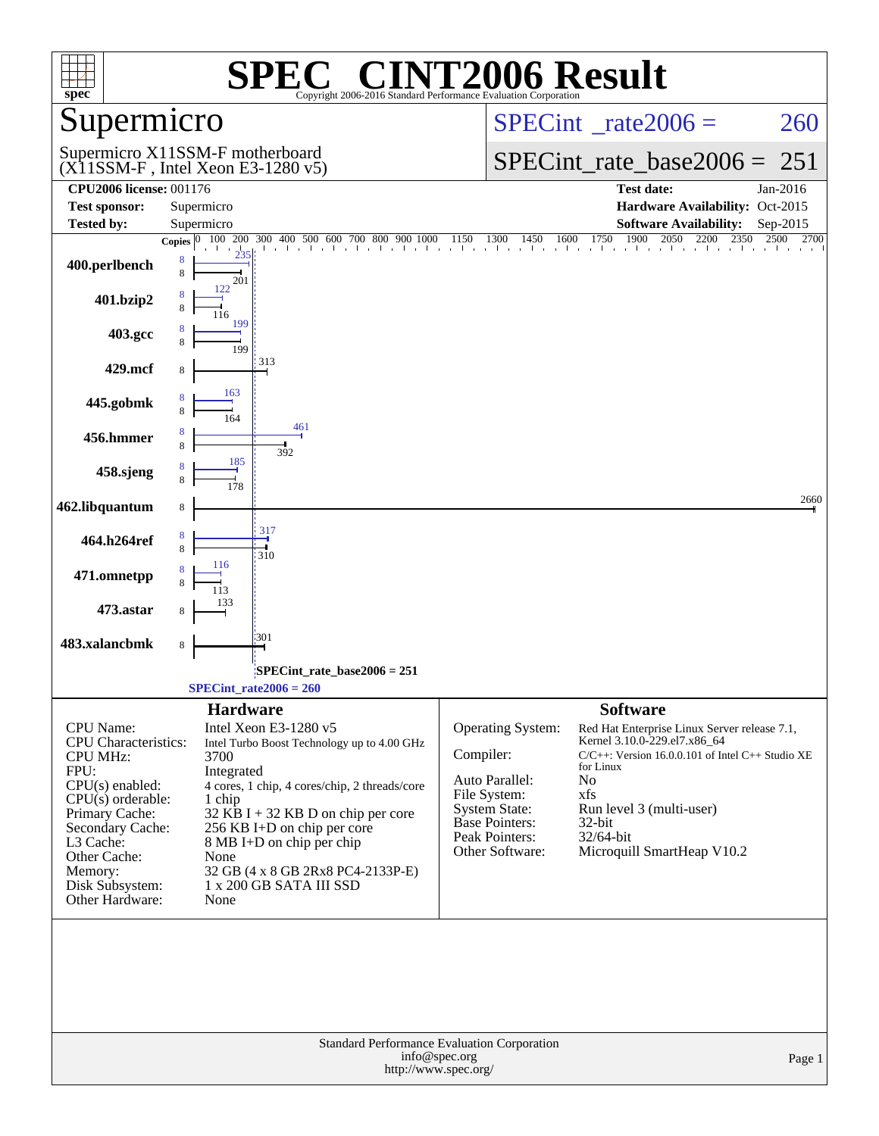| $spec^*$                           | <b>SPEC<sup>®</sup> CINT2006 Result</b><br>Copyright 2006-2016 Standard Performance Evaluation Corporation |                                                                                                                                                                                           |
|------------------------------------|------------------------------------------------------------------------------------------------------------|-------------------------------------------------------------------------------------------------------------------------------------------------------------------------------------------|
| Supermicro                         |                                                                                                            | $SPECint^{\circ}$ rate $2006 =$<br>260                                                                                                                                                    |
|                                    | Supermicro X11SSM-F motherboard<br>$(X11SSM-F$ , Intel Xeon E3-1280 v5)                                    | $SPECint_rate_base2006 =$<br>251                                                                                                                                                          |
| <b>CPU2006 license: 001176</b>     |                                                                                                            | <b>Test date:</b><br>Jan-2016                                                                                                                                                             |
| <b>Test sponsor:</b>               | Supermicro                                                                                                 | Hardware Availability: Oct-2015                                                                                                                                                           |
| <b>Tested by:</b>                  | Supermicro                                                                                                 | <b>Software Availability:</b><br>Sep-2015                                                                                                                                                 |
|                                    |                                                                                                            | <b>Copies</b> $\begin{bmatrix} 0 & 100 & 200 & 300 & 400 & 500 & 600 & 700 & 800 & 900 & 1000 & 1150 & 1300 & 1450 & 1600 & 1750 & 1900 & 2050 & 2200 & 2350 & 2500 & 2700 \end{bmatrix}$ |
| 400.perlbench                      | 8<br>8<br>201                                                                                              |                                                                                                                                                                                           |
| 401.bzip2                          | 122                                                                                                        |                                                                                                                                                                                           |
| 403.gcc                            | 199<br>199                                                                                                 |                                                                                                                                                                                           |
| 429.mcf                            | 313                                                                                                        |                                                                                                                                                                                           |
| 445.gobmk                          | 163                                                                                                        |                                                                                                                                                                                           |
| 456.hmmer                          | 461<br>392                                                                                                 |                                                                                                                                                                                           |
| 458.sjeng                          | 185                                                                                                        |                                                                                                                                                                                           |
| 462.libquantum                     | 8                                                                                                          | 2660                                                                                                                                                                                      |
| 464.h264ref                        | 317<br>310                                                                                                 |                                                                                                                                                                                           |
| 471.omnetpp                        | 116                                                                                                        |                                                                                                                                                                                           |
| 473.astar                          |                                                                                                            |                                                                                                                                                                                           |
| 483.xalancbmk                      | 301<br>8                                                                                                   |                                                                                                                                                                                           |
|                                    | SPECint_rate_base2006 = 251:<br>$SPECint_rate2006 = 260$                                                   |                                                                                                                                                                                           |
|                                    | <b>Hardware</b>                                                                                            | <b>Software</b>                                                                                                                                                                           |
| CPU Name:                          | Intel Xeon E3-1280 v5                                                                                      | Operating System:<br>Red Hat Enterprise Linux Server release 7.1,                                                                                                                         |
| <b>CPU</b> Characteristics:        | Intel Turbo Boost Technology up to 4.00 GHz                                                                | Kernel 3.10.0-229.el7.x86_64<br>Compiler:<br>$C/C++$ : Version 16.0.0.101 of Intel $C++$ Studio XE                                                                                        |
| <b>CPU MHz:</b><br>FPU:            | 3700<br>Integrated                                                                                         | for Linux                                                                                                                                                                                 |
| $CPU(s)$ enabled:                  | 4 cores, 1 chip, 4 cores/chip, 2 threads/core                                                              | Auto Parallel:<br>No                                                                                                                                                                      |
| $CPU(s)$ orderable:                | 1 chip                                                                                                     | File System:<br>xfs<br><b>System State:</b><br>Run level 3 (multi-user)                                                                                                                   |
| Primary Cache:<br>Secondary Cache: | $32$ KB I + 32 KB D on chip per core<br>256 KB I+D on chip per core                                        | <b>Base Pointers:</b><br>32-bit                                                                                                                                                           |
| L3 Cache:                          | $8 \text{ MB I+D}$ on chip per chip                                                                        | Peak Pointers:<br>32/64-bit                                                                                                                                                               |
| Other Cache:                       | None                                                                                                       | Other Software:<br>Microquill SmartHeap V10.2                                                                                                                                             |
| Memory:                            | 32 GB (4 x 8 GB 2Rx8 PC4-2133P-E)<br>1 x 200 GB SATA III SSD                                               |                                                                                                                                                                                           |
| Disk Subsystem:<br>Other Hardware: | None                                                                                                       |                                                                                                                                                                                           |
|                                    | Standard Performance Evaluation Corporation                                                                |                                                                                                                                                                                           |
|                                    | info@spec.org<br>http://www.spec.org/                                                                      | Page 1                                                                                                                                                                                    |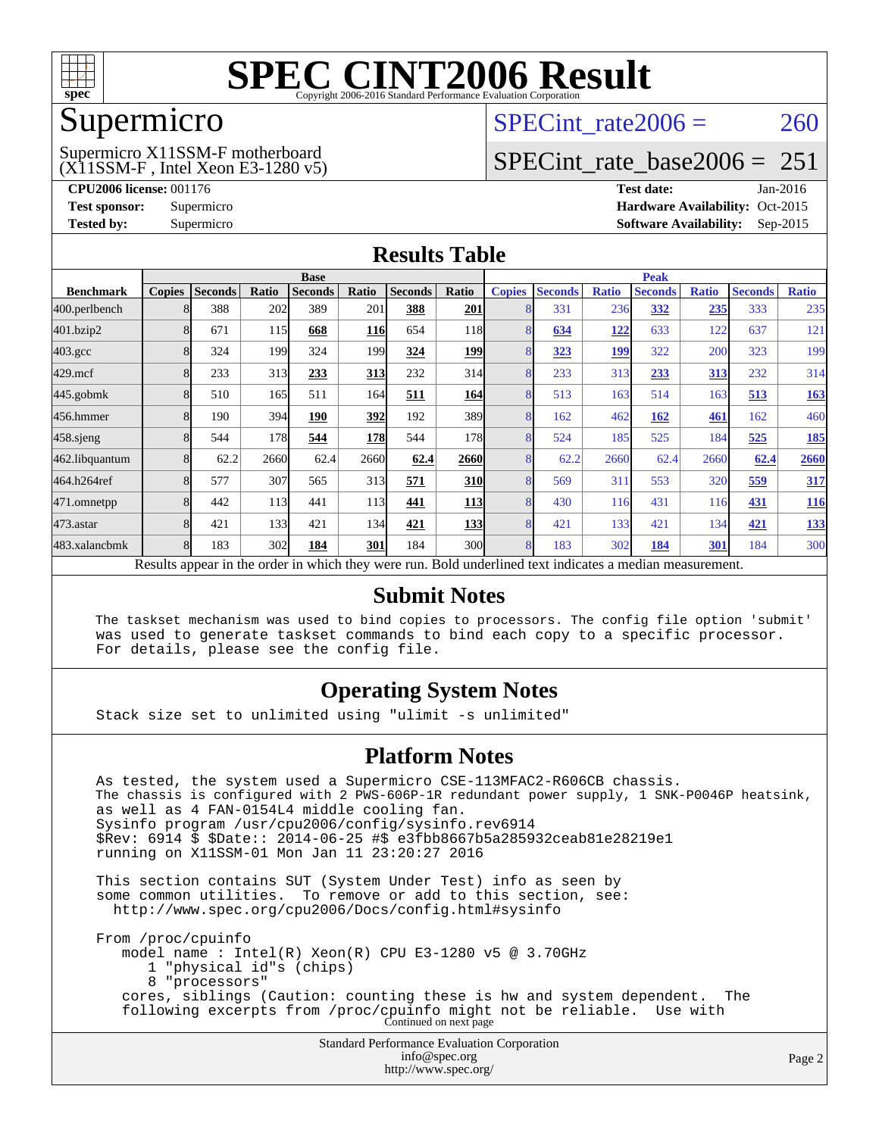

### Supermicro

### (X11SSM-F , Intel Xeon E3-1280 v5) Supermicro X11SSM-F motherboard

SPECint rate $2006 = 260$ 

### [SPECint\\_rate\\_base2006 =](http://www.spec.org/auto/cpu2006/Docs/result-fields.html#SPECintratebase2006)  $251$

**[CPU2006 license:](http://www.spec.org/auto/cpu2006/Docs/result-fields.html#CPU2006license)** 001176 **[Test date:](http://www.spec.org/auto/cpu2006/Docs/result-fields.html#Testdate)** Jan-2016 **[Test sponsor:](http://www.spec.org/auto/cpu2006/Docs/result-fields.html#Testsponsor)** Supermicro Supermicro **[Hardware Availability:](http://www.spec.org/auto/cpu2006/Docs/result-fields.html#HardwareAvailability)** Oct-2015 **[Tested by:](http://www.spec.org/auto/cpu2006/Docs/result-fields.html#Testedby)** Supermicro **Supermicro [Software Availability:](http://www.spec.org/auto/cpu2006/Docs/result-fields.html#SoftwareAvailability)** Sep-2015

### **[Results Table](http://www.spec.org/auto/cpu2006/Docs/result-fields.html#ResultsTable)**

|                                                                                                          | <b>Base</b>   |                |       |                |               |                | <b>Peak</b> |               |                |              |                |              |                |              |
|----------------------------------------------------------------------------------------------------------|---------------|----------------|-------|----------------|---------------|----------------|-------------|---------------|----------------|--------------|----------------|--------------|----------------|--------------|
| <b>Benchmark</b>                                                                                         | <b>Copies</b> | <b>Seconds</b> | Ratio | <b>Seconds</b> | Ratio         | <b>Seconds</b> | Ratio       | <b>Copies</b> | <b>Seconds</b> | <b>Ratio</b> | <b>Seconds</b> | <b>Ratio</b> | <b>Seconds</b> | <b>Ratio</b> |
| 400.perlbench                                                                                            |               | 388            | 202   | 389            | 201           | 388            | 201         | 8             | 331            | 236          | 332            | 235          | 333            | 235          |
| 401.bzip2                                                                                                |               | 671            | 115   | 668            | <u> 116  </u> | 654            | <b>118</b>  | 8             | 634            | 122          | 633            | 122          | 637            | 121          |
| $403.\mathrm{gcc}$                                                                                       |               | 324            | 199   | 324            | 199           | 324            | <b>199</b>  | 8             | 323            | 199          | 322            | 200          | 323            | 199          |
| $429$ .mcf                                                                                               | 8             | 233            | 313   | 233            | 313           | 232            | 314         | 8             | 233            | 313          | 233            | 313          | 232            | 314          |
| $445$ .gobm $k$                                                                                          | 8             | 510            | 165   | 511            | 164           | 511            | 164         | 8             | 513            | 163          | 514            | 163          | 513            | <b>163</b>   |
| 456.hmmer                                                                                                |               | 190            | 394   | 190            | 392           | 192            | 389         | 8             | 162            | 462          | 162            | 461          | 162            | 460          |
| $458$ .sjeng                                                                                             |               | 544            | 178   | 544            | 178           | 544            | 178         | 8             | 524            | 185          | 525            | 184          | 525            | <u>185</u>   |
| 462.libquantum                                                                                           |               | 62.2           | 2660  | 62.4           | 2660          | 62.4           | 2660        | 8             | 62.2           | 2660         | 62.4           | 2660         | 62.4           | 2660         |
| 464.h264ref                                                                                              |               | 577            | 307   | 565            | 313           | 571            | <b>310</b>  | 8             | 569            | 311          | 553            | 320          | 559            | 317          |
| 471.omnetpp                                                                                              |               | 442            | 113   | 441            | 113           | 441            | <u>113</u>  | 8             | 430            | 116          | 431            | 116          | 431            | <u>116</u>   |
| 473.astar                                                                                                | 8             | 421            | 133   | 421            | 134           | 421            | 133         | 8             | 421            | 133          | 421            | 134          | 421            | 133          |
| 483.xalancbmk                                                                                            |               | 183            | 302   | 184            | 301           | 184            | 300l        | 8             | 183            | 302          | 184            | 301          | 184            | 300          |
| Results appear in the order in which they were run. Bold underlined text indicates a median measurement. |               |                |       |                |               |                |             |               |                |              |                |              |                |              |

### **[Submit Notes](http://www.spec.org/auto/cpu2006/Docs/result-fields.html#SubmitNotes)**

 The taskset mechanism was used to bind copies to processors. The config file option 'submit' was used to generate taskset commands to bind each copy to a specific processor. For details, please see the config file.

### **[Operating System Notes](http://www.spec.org/auto/cpu2006/Docs/result-fields.html#OperatingSystemNotes)**

Stack size set to unlimited using "ulimit -s unlimited"

### **[Platform Notes](http://www.spec.org/auto/cpu2006/Docs/result-fields.html#PlatformNotes)**

Standard Performance Evaluation Corporation As tested, the system used a Supermicro CSE-113MFAC2-R606CB chassis. The chassis is configured with 2 PWS-606P-1R redundant power supply, 1 SNK-P0046P heatsink, as well as 4 FAN-0154L4 middle cooling fan. Sysinfo program /usr/cpu2006/config/sysinfo.rev6914 \$Rev: 6914 \$ \$Date:: 2014-06-25 #\$ e3fbb8667b5a285932ceab81e28219e1 running on X11SSM-01 Mon Jan 11 23:20:27 2016 This section contains SUT (System Under Test) info as seen by some common utilities. To remove or add to this section, see: <http://www.spec.org/cpu2006/Docs/config.html#sysinfo> From /proc/cpuinfo model name : Intel(R) Xeon(R) CPU E3-1280 v5 @ 3.70GHz 1 "physical id"s (chips) 8 "processors" cores, siblings (Caution: counting these is hw and system dependent. The following excerpts from /proc/cpuinfo might not be reliable. Use with Continued on next page

[info@spec.org](mailto:info@spec.org) <http://www.spec.org/>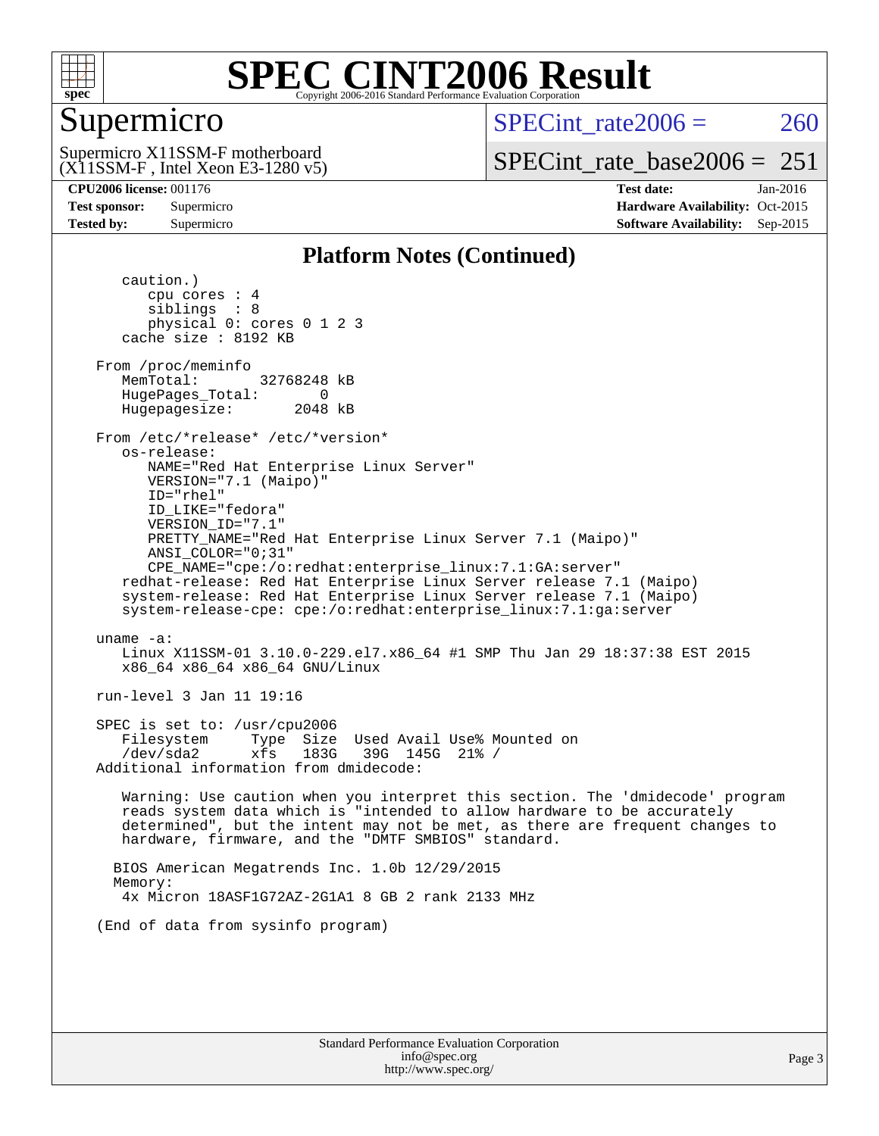

### Supermicro

SPECint rate $2006 = 260$ 

(X11SSM-F , Intel Xeon E3-1280 v5) Supermicro X11SSM-F motherboard

[SPECint\\_rate\\_base2006 =](http://www.spec.org/auto/cpu2006/Docs/result-fields.html#SPECintratebase2006)  $251$ 

**[CPU2006 license:](http://www.spec.org/auto/cpu2006/Docs/result-fields.html#CPU2006license)** 001176 **[Test date:](http://www.spec.org/auto/cpu2006/Docs/result-fields.html#Testdate)** Jan-2016 **[Test sponsor:](http://www.spec.org/auto/cpu2006/Docs/result-fields.html#Testsponsor)** Supermicro Supermicro **[Hardware Availability:](http://www.spec.org/auto/cpu2006/Docs/result-fields.html#HardwareAvailability)** Oct-2015 **[Tested by:](http://www.spec.org/auto/cpu2006/Docs/result-fields.html#Testedby)** Supermicro **Supermicro [Software Availability:](http://www.spec.org/auto/cpu2006/Docs/result-fields.html#SoftwareAvailability)** Sep-2015

### **[Platform Notes \(Continued\)](http://www.spec.org/auto/cpu2006/Docs/result-fields.html#PlatformNotes)**

 caution.) cpu cores : 4 siblings : 8 physical 0: cores 0 1 2 3 cache size : 8192 KB From /proc/meminfo MemTotal: 32768248 kB HugePages\_Total: 0<br>Hugepagesize: 2048 kB Hugepagesize: From /etc/\*release\* /etc/\*version\* os-release: NAME="Red Hat Enterprise Linux Server" VERSION="7.1 (Maipo)" ID="rhel" ID\_LIKE="fedora" VERSION\_ID="7.1" PRETTY\_NAME="Red Hat Enterprise Linux Server 7.1 (Maipo)" ANSI\_COLOR="0;31" CPE\_NAME="cpe:/o:redhat:enterprise\_linux:7.1:GA:server" redhat-release: Red Hat Enterprise Linux Server release 7.1 (Maipo) system-release: Red Hat Enterprise Linux Server release 7.1 (Maipo) system-release-cpe: cpe:/o:redhat:enterprise\_linux:7.1:ga:server uname -a: Linux X11SSM-01 3.10.0-229.el7.x86\_64 #1 SMP Thu Jan 29 18:37:38 EST 2015 x86\_64 x86\_64 x86\_64 GNU/Linux run-level 3 Jan 11 19:16 SPEC is set to: /usr/cpu2006 Filesystem Type Size Used Avail Use% Mounted on /dev/sda2 xfs 183G 39G 145G 21% / Additional information from dmidecode: Warning: Use caution when you interpret this section. The 'dmidecode' program reads system data which is "intended to allow hardware to be accurately determined", but the intent may not be met, as there are frequent changes to hardware, firmware, and the "DMTF SMBIOS" standard. BIOS American Megatrends Inc. 1.0b 12/29/2015 Memory: 4x Micron 18ASF1G72AZ-2G1A1 8 GB 2 rank 2133 MHz (End of data from sysinfo program)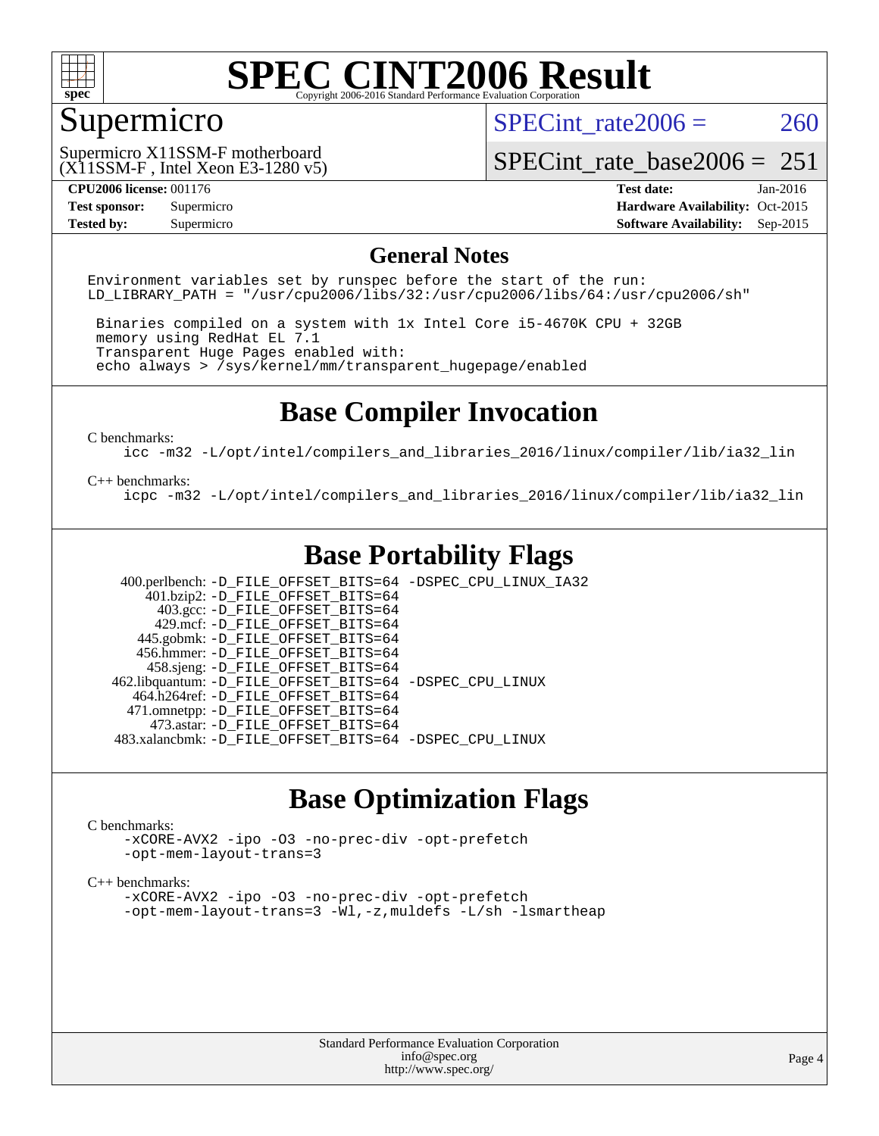

### Supermicro

SPECint rate $2006 = 260$ 

(X11SSM-F , Intel Xeon E3-1280 v5) Supermicro X11SSM-F motherboard

[SPECint\\_rate\\_base2006 =](http://www.spec.org/auto/cpu2006/Docs/result-fields.html#SPECintratebase2006)  $251$ 

**[CPU2006 license:](http://www.spec.org/auto/cpu2006/Docs/result-fields.html#CPU2006license)** 001176 **[Test date:](http://www.spec.org/auto/cpu2006/Docs/result-fields.html#Testdate)** Jan-2016 **[Test sponsor:](http://www.spec.org/auto/cpu2006/Docs/result-fields.html#Testsponsor)** Supermicro Supermicro **[Hardware Availability:](http://www.spec.org/auto/cpu2006/Docs/result-fields.html#HardwareAvailability)** Oct-2015 **[Tested by:](http://www.spec.org/auto/cpu2006/Docs/result-fields.html#Testedby)** Supermicro **Supermicro [Software Availability:](http://www.spec.org/auto/cpu2006/Docs/result-fields.html#SoftwareAvailability)** Sep-2015

### **[General Notes](http://www.spec.org/auto/cpu2006/Docs/result-fields.html#GeneralNotes)**

Environment variables set by runspec before the start of the run: LD LIBRARY PATH = "/usr/cpu2006/libs/32:/usr/cpu2006/libs/64:/usr/cpu2006/sh"

 Binaries compiled on a system with 1x Intel Core i5-4670K CPU + 32GB memory using RedHat EL 7.1 Transparent Huge Pages enabled with: echo always > /sys/kernel/mm/transparent\_hugepage/enabled

### **[Base Compiler Invocation](http://www.spec.org/auto/cpu2006/Docs/result-fields.html#BaseCompilerInvocation)**

[C benchmarks](http://www.spec.org/auto/cpu2006/Docs/result-fields.html#Cbenchmarks):

[icc -m32 -L/opt/intel/compilers\\_and\\_libraries\\_2016/linux/compiler/lib/ia32\\_lin](http://www.spec.org/cpu2006/results/res2016q1/cpu2006-20160120-38741.flags.html#user_CCbase_intel_icc_e10256ba5924b668798078a321b0cb3f)

#### [C++ benchmarks:](http://www.spec.org/auto/cpu2006/Docs/result-fields.html#CXXbenchmarks)

[icpc -m32 -L/opt/intel/compilers\\_and\\_libraries\\_2016/linux/compiler/lib/ia32\\_lin](http://www.spec.org/cpu2006/results/res2016q1/cpu2006-20160120-38741.flags.html#user_CXXbase_intel_icpc_b4f50a394bdb4597aa5879c16bc3f5c5)

### **[Base Portability Flags](http://www.spec.org/auto/cpu2006/Docs/result-fields.html#BasePortabilityFlags)**

 400.perlbench: [-D\\_FILE\\_OFFSET\\_BITS=64](http://www.spec.org/cpu2006/results/res2016q1/cpu2006-20160120-38741.flags.html#user_basePORTABILITY400_perlbench_file_offset_bits_64_438cf9856305ebd76870a2c6dc2689ab) [-DSPEC\\_CPU\\_LINUX\\_IA32](http://www.spec.org/cpu2006/results/res2016q1/cpu2006-20160120-38741.flags.html#b400.perlbench_baseCPORTABILITY_DSPEC_CPU_LINUX_IA32)  $401.bzip2: -D$ FILE\_OFFSET\_BITS=64 403.gcc: [-D\\_FILE\\_OFFSET\\_BITS=64](http://www.spec.org/cpu2006/results/res2016q1/cpu2006-20160120-38741.flags.html#user_basePORTABILITY403_gcc_file_offset_bits_64_438cf9856305ebd76870a2c6dc2689ab) 429.mcf: [-D\\_FILE\\_OFFSET\\_BITS=64](http://www.spec.org/cpu2006/results/res2016q1/cpu2006-20160120-38741.flags.html#user_basePORTABILITY429_mcf_file_offset_bits_64_438cf9856305ebd76870a2c6dc2689ab) 445.gobmk: [-D\\_FILE\\_OFFSET\\_BITS=64](http://www.spec.org/cpu2006/results/res2016q1/cpu2006-20160120-38741.flags.html#user_basePORTABILITY445_gobmk_file_offset_bits_64_438cf9856305ebd76870a2c6dc2689ab) 456.hmmer: [-D\\_FILE\\_OFFSET\\_BITS=64](http://www.spec.org/cpu2006/results/res2016q1/cpu2006-20160120-38741.flags.html#user_basePORTABILITY456_hmmer_file_offset_bits_64_438cf9856305ebd76870a2c6dc2689ab) 458.sjeng: [-D\\_FILE\\_OFFSET\\_BITS=64](http://www.spec.org/cpu2006/results/res2016q1/cpu2006-20160120-38741.flags.html#user_basePORTABILITY458_sjeng_file_offset_bits_64_438cf9856305ebd76870a2c6dc2689ab) 462.libquantum: [-D\\_FILE\\_OFFSET\\_BITS=64](http://www.spec.org/cpu2006/results/res2016q1/cpu2006-20160120-38741.flags.html#user_basePORTABILITY462_libquantum_file_offset_bits_64_438cf9856305ebd76870a2c6dc2689ab) [-DSPEC\\_CPU\\_LINUX](http://www.spec.org/cpu2006/results/res2016q1/cpu2006-20160120-38741.flags.html#b462.libquantum_baseCPORTABILITY_DSPEC_CPU_LINUX) 464.h264ref: [-D\\_FILE\\_OFFSET\\_BITS=64](http://www.spec.org/cpu2006/results/res2016q1/cpu2006-20160120-38741.flags.html#user_basePORTABILITY464_h264ref_file_offset_bits_64_438cf9856305ebd76870a2c6dc2689ab) 471.omnetpp: [-D\\_FILE\\_OFFSET\\_BITS=64](http://www.spec.org/cpu2006/results/res2016q1/cpu2006-20160120-38741.flags.html#user_basePORTABILITY471_omnetpp_file_offset_bits_64_438cf9856305ebd76870a2c6dc2689ab) 473.astar: [-D\\_FILE\\_OFFSET\\_BITS=64](http://www.spec.org/cpu2006/results/res2016q1/cpu2006-20160120-38741.flags.html#user_basePORTABILITY473_astar_file_offset_bits_64_438cf9856305ebd76870a2c6dc2689ab) 483.xalancbmk: [-D\\_FILE\\_OFFSET\\_BITS=64](http://www.spec.org/cpu2006/results/res2016q1/cpu2006-20160120-38741.flags.html#user_basePORTABILITY483_xalancbmk_file_offset_bits_64_438cf9856305ebd76870a2c6dc2689ab) [-DSPEC\\_CPU\\_LINUX](http://www.spec.org/cpu2006/results/res2016q1/cpu2006-20160120-38741.flags.html#b483.xalancbmk_baseCXXPORTABILITY_DSPEC_CPU_LINUX)

### **[Base Optimization Flags](http://www.spec.org/auto/cpu2006/Docs/result-fields.html#BaseOptimizationFlags)**

#### [C benchmarks](http://www.spec.org/auto/cpu2006/Docs/result-fields.html#Cbenchmarks):

[-xCORE-AVX2](http://www.spec.org/cpu2006/results/res2016q1/cpu2006-20160120-38741.flags.html#user_CCbase_f-xAVX2_5f5fc0cbe2c9f62c816d3e45806c70d7) [-ipo](http://www.spec.org/cpu2006/results/res2016q1/cpu2006-20160120-38741.flags.html#user_CCbase_f-ipo) [-O3](http://www.spec.org/cpu2006/results/res2016q1/cpu2006-20160120-38741.flags.html#user_CCbase_f-O3) [-no-prec-div](http://www.spec.org/cpu2006/results/res2016q1/cpu2006-20160120-38741.flags.html#user_CCbase_f-no-prec-div) [-opt-prefetch](http://www.spec.org/cpu2006/results/res2016q1/cpu2006-20160120-38741.flags.html#user_CCbase_f-opt-prefetch) [-opt-mem-layout-trans=3](http://www.spec.org/cpu2006/results/res2016q1/cpu2006-20160120-38741.flags.html#user_CCbase_f-opt-mem-layout-trans_a7b82ad4bd7abf52556d4961a2ae94d5)

#### [C++ benchmarks:](http://www.spec.org/auto/cpu2006/Docs/result-fields.html#CXXbenchmarks)

[-xCORE-AVX2](http://www.spec.org/cpu2006/results/res2016q1/cpu2006-20160120-38741.flags.html#user_CXXbase_f-xAVX2_5f5fc0cbe2c9f62c816d3e45806c70d7) [-ipo](http://www.spec.org/cpu2006/results/res2016q1/cpu2006-20160120-38741.flags.html#user_CXXbase_f-ipo) [-O3](http://www.spec.org/cpu2006/results/res2016q1/cpu2006-20160120-38741.flags.html#user_CXXbase_f-O3) [-no-prec-div](http://www.spec.org/cpu2006/results/res2016q1/cpu2006-20160120-38741.flags.html#user_CXXbase_f-no-prec-div) [-opt-prefetch](http://www.spec.org/cpu2006/results/res2016q1/cpu2006-20160120-38741.flags.html#user_CXXbase_f-opt-prefetch) [-opt-mem-layout-trans=3](http://www.spec.org/cpu2006/results/res2016q1/cpu2006-20160120-38741.flags.html#user_CXXbase_f-opt-mem-layout-trans_a7b82ad4bd7abf52556d4961a2ae94d5) [-Wl,-z,muldefs](http://www.spec.org/cpu2006/results/res2016q1/cpu2006-20160120-38741.flags.html#user_CXXbase_link_force_multiple1_74079c344b956b9658436fd1b6dd3a8a) [-L/sh -lsmartheap](http://www.spec.org/cpu2006/results/res2016q1/cpu2006-20160120-38741.flags.html#user_CXXbase_SmartHeap_32f6c82aa1ed9c52345d30cf6e4a0499)

> Standard Performance Evaluation Corporation [info@spec.org](mailto:info@spec.org) <http://www.spec.org/>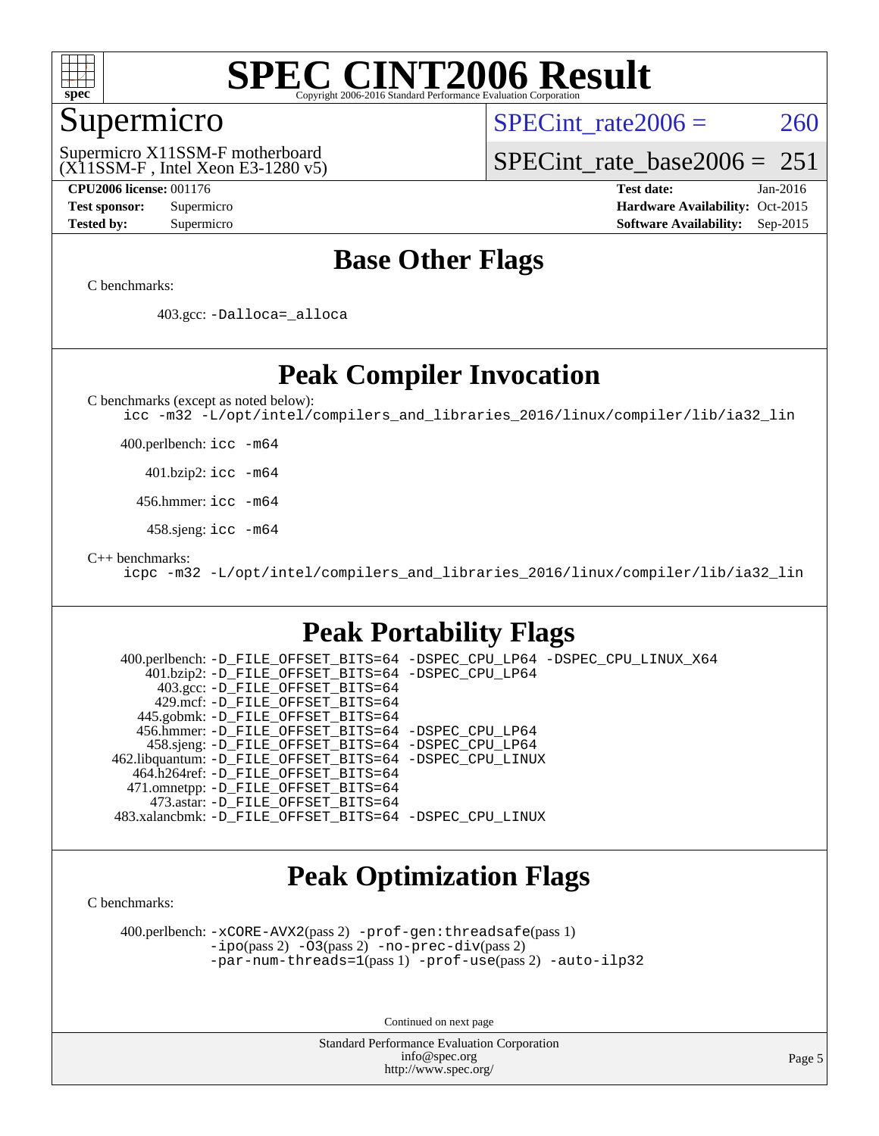

### Supermicro

SPECint rate $2006 = 260$ 

(X11SSM-F , Intel Xeon E3-1280 v5) Supermicro X11SSM-F motherboard

[SPECint\\_rate\\_base2006 =](http://www.spec.org/auto/cpu2006/Docs/result-fields.html#SPECintratebase2006)  $251$ 

**[CPU2006 license:](http://www.spec.org/auto/cpu2006/Docs/result-fields.html#CPU2006license)** 001176 **[Test date:](http://www.spec.org/auto/cpu2006/Docs/result-fields.html#Testdate)** Jan-2016 **[Test sponsor:](http://www.spec.org/auto/cpu2006/Docs/result-fields.html#Testsponsor)** Supermicro Supermicro **[Hardware Availability:](http://www.spec.org/auto/cpu2006/Docs/result-fields.html#HardwareAvailability)** Oct-2015 **[Tested by:](http://www.spec.org/auto/cpu2006/Docs/result-fields.html#Testedby)** Supermicro **Supermicro [Software Availability:](http://www.spec.org/auto/cpu2006/Docs/result-fields.html#SoftwareAvailability)** Sep-2015

### **[Base Other Flags](http://www.spec.org/auto/cpu2006/Docs/result-fields.html#BaseOtherFlags)**

[C benchmarks](http://www.spec.org/auto/cpu2006/Docs/result-fields.html#Cbenchmarks):

403.gcc: [-Dalloca=\\_alloca](http://www.spec.org/cpu2006/results/res2016q1/cpu2006-20160120-38741.flags.html#b403.gcc_baseEXTRA_CFLAGS_Dalloca_be3056838c12de2578596ca5467af7f3)

### **[Peak Compiler Invocation](http://www.spec.org/auto/cpu2006/Docs/result-fields.html#PeakCompilerInvocation)**

[C benchmarks \(except as noted below\)](http://www.spec.org/auto/cpu2006/Docs/result-fields.html#Cbenchmarksexceptasnotedbelow):

[icc -m32 -L/opt/intel/compilers\\_and\\_libraries\\_2016/linux/compiler/lib/ia32\\_lin](http://www.spec.org/cpu2006/results/res2016q1/cpu2006-20160120-38741.flags.html#user_CCpeak_intel_icc_e10256ba5924b668798078a321b0cb3f)

400.perlbench: [icc -m64](http://www.spec.org/cpu2006/results/res2016q1/cpu2006-20160120-38741.flags.html#user_peakCCLD400_perlbench_intel_icc_64bit_bda6cc9af1fdbb0edc3795bac97ada53)

401.bzip2: [icc -m64](http://www.spec.org/cpu2006/results/res2016q1/cpu2006-20160120-38741.flags.html#user_peakCCLD401_bzip2_intel_icc_64bit_bda6cc9af1fdbb0edc3795bac97ada53)

456.hmmer: [icc -m64](http://www.spec.org/cpu2006/results/res2016q1/cpu2006-20160120-38741.flags.html#user_peakCCLD456_hmmer_intel_icc_64bit_bda6cc9af1fdbb0edc3795bac97ada53)

458.sjeng: [icc -m64](http://www.spec.org/cpu2006/results/res2016q1/cpu2006-20160120-38741.flags.html#user_peakCCLD458_sjeng_intel_icc_64bit_bda6cc9af1fdbb0edc3795bac97ada53)

[C++ benchmarks:](http://www.spec.org/auto/cpu2006/Docs/result-fields.html#CXXbenchmarks)

[icpc -m32 -L/opt/intel/compilers\\_and\\_libraries\\_2016/linux/compiler/lib/ia32\\_lin](http://www.spec.org/cpu2006/results/res2016q1/cpu2006-20160120-38741.flags.html#user_CXXpeak_intel_icpc_b4f50a394bdb4597aa5879c16bc3f5c5)

### **[Peak Portability Flags](http://www.spec.org/auto/cpu2006/Docs/result-fields.html#PeakPortabilityFlags)**

 400.perlbench: [-D\\_FILE\\_OFFSET\\_BITS=64](http://www.spec.org/cpu2006/results/res2016q1/cpu2006-20160120-38741.flags.html#user_peakPORTABILITY400_perlbench_file_offset_bits_64_438cf9856305ebd76870a2c6dc2689ab) [-DSPEC\\_CPU\\_LP64](http://www.spec.org/cpu2006/results/res2016q1/cpu2006-20160120-38741.flags.html#b400.perlbench_peakCPORTABILITY_DSPEC_CPU_LP64) [-DSPEC\\_CPU\\_LINUX\\_X64](http://www.spec.org/cpu2006/results/res2016q1/cpu2006-20160120-38741.flags.html#b400.perlbench_peakCPORTABILITY_DSPEC_CPU_LINUX_X64) 401.bzip2: [-D\\_FILE\\_OFFSET\\_BITS=64](http://www.spec.org/cpu2006/results/res2016q1/cpu2006-20160120-38741.flags.html#user_peakPORTABILITY401_bzip2_file_offset_bits_64_438cf9856305ebd76870a2c6dc2689ab) [-DSPEC\\_CPU\\_LP64](http://www.spec.org/cpu2006/results/res2016q1/cpu2006-20160120-38741.flags.html#suite_peakCPORTABILITY401_bzip2_DSPEC_CPU_LP64) 403.gcc: [-D\\_FILE\\_OFFSET\\_BITS=64](http://www.spec.org/cpu2006/results/res2016q1/cpu2006-20160120-38741.flags.html#user_peakPORTABILITY403_gcc_file_offset_bits_64_438cf9856305ebd76870a2c6dc2689ab) 429.mcf: [-D\\_FILE\\_OFFSET\\_BITS=64](http://www.spec.org/cpu2006/results/res2016q1/cpu2006-20160120-38741.flags.html#user_peakPORTABILITY429_mcf_file_offset_bits_64_438cf9856305ebd76870a2c6dc2689ab) 445.gobmk: [-D\\_FILE\\_OFFSET\\_BITS=64](http://www.spec.org/cpu2006/results/res2016q1/cpu2006-20160120-38741.flags.html#user_peakPORTABILITY445_gobmk_file_offset_bits_64_438cf9856305ebd76870a2c6dc2689ab) 456.hmmer: [-D\\_FILE\\_OFFSET\\_BITS=64](http://www.spec.org/cpu2006/results/res2016q1/cpu2006-20160120-38741.flags.html#user_peakPORTABILITY456_hmmer_file_offset_bits_64_438cf9856305ebd76870a2c6dc2689ab) [-DSPEC\\_CPU\\_LP64](http://www.spec.org/cpu2006/results/res2016q1/cpu2006-20160120-38741.flags.html#suite_peakCPORTABILITY456_hmmer_DSPEC_CPU_LP64) 458.sjeng: [-D\\_FILE\\_OFFSET\\_BITS=64](http://www.spec.org/cpu2006/results/res2016q1/cpu2006-20160120-38741.flags.html#user_peakPORTABILITY458_sjeng_file_offset_bits_64_438cf9856305ebd76870a2c6dc2689ab) [-DSPEC\\_CPU\\_LP64](http://www.spec.org/cpu2006/results/res2016q1/cpu2006-20160120-38741.flags.html#suite_peakCPORTABILITY458_sjeng_DSPEC_CPU_LP64) 462.libquantum: [-D\\_FILE\\_OFFSET\\_BITS=64](http://www.spec.org/cpu2006/results/res2016q1/cpu2006-20160120-38741.flags.html#user_peakPORTABILITY462_libquantum_file_offset_bits_64_438cf9856305ebd76870a2c6dc2689ab) [-DSPEC\\_CPU\\_LINUX](http://www.spec.org/cpu2006/results/res2016q1/cpu2006-20160120-38741.flags.html#b462.libquantum_peakCPORTABILITY_DSPEC_CPU_LINUX) 464.h264ref: [-D\\_FILE\\_OFFSET\\_BITS=64](http://www.spec.org/cpu2006/results/res2016q1/cpu2006-20160120-38741.flags.html#user_peakPORTABILITY464_h264ref_file_offset_bits_64_438cf9856305ebd76870a2c6dc2689ab) 471.omnetpp: [-D\\_FILE\\_OFFSET\\_BITS=64](http://www.spec.org/cpu2006/results/res2016q1/cpu2006-20160120-38741.flags.html#user_peakPORTABILITY471_omnetpp_file_offset_bits_64_438cf9856305ebd76870a2c6dc2689ab) 473.astar: [-D\\_FILE\\_OFFSET\\_BITS=64](http://www.spec.org/cpu2006/results/res2016q1/cpu2006-20160120-38741.flags.html#user_peakPORTABILITY473_astar_file_offset_bits_64_438cf9856305ebd76870a2c6dc2689ab) 483.xalancbmk: [-D\\_FILE\\_OFFSET\\_BITS=64](http://www.spec.org/cpu2006/results/res2016q1/cpu2006-20160120-38741.flags.html#user_peakPORTABILITY483_xalancbmk_file_offset_bits_64_438cf9856305ebd76870a2c6dc2689ab) [-DSPEC\\_CPU\\_LINUX](http://www.spec.org/cpu2006/results/res2016q1/cpu2006-20160120-38741.flags.html#b483.xalancbmk_peakCXXPORTABILITY_DSPEC_CPU_LINUX)

### **[Peak Optimization Flags](http://www.spec.org/auto/cpu2006/Docs/result-fields.html#PeakOptimizationFlags)**

[C benchmarks](http://www.spec.org/auto/cpu2006/Docs/result-fields.html#Cbenchmarks):

 400.perlbench: [-xCORE-AVX2](http://www.spec.org/cpu2006/results/res2016q1/cpu2006-20160120-38741.flags.html#user_peakPASS2_CFLAGSPASS2_LDCFLAGS400_perlbench_f-xAVX2_5f5fc0cbe2c9f62c816d3e45806c70d7)(pass 2) [-prof-gen:threadsafe](http://www.spec.org/cpu2006/results/res2016q1/cpu2006-20160120-38741.flags.html#user_peakPASS1_CFLAGSPASS1_LDCFLAGS400_perlbench_prof_gen_21a26eb79f378b550acd7bec9fe4467a)(pass 1) [-ipo](http://www.spec.org/cpu2006/results/res2016q1/cpu2006-20160120-38741.flags.html#user_peakPASS2_CFLAGSPASS2_LDCFLAGS400_perlbench_f-ipo)(pass 2) [-O3](http://www.spec.org/cpu2006/results/res2016q1/cpu2006-20160120-38741.flags.html#user_peakPASS2_CFLAGSPASS2_LDCFLAGS400_perlbench_f-O3)(pass 2) [-no-prec-div](http://www.spec.org/cpu2006/results/res2016q1/cpu2006-20160120-38741.flags.html#user_peakPASS2_CFLAGSPASS2_LDCFLAGS400_perlbench_f-no-prec-div)(pass 2) [-par-num-threads=1](http://www.spec.org/cpu2006/results/res2016q1/cpu2006-20160120-38741.flags.html#user_peakPASS1_CFLAGSPASS1_LDCFLAGS400_perlbench_par_num_threads_786a6ff141b4e9e90432e998842df6c2)(pass 1) [-prof-use](http://www.spec.org/cpu2006/results/res2016q1/cpu2006-20160120-38741.flags.html#user_peakPASS2_CFLAGSPASS2_LDCFLAGS400_perlbench_prof_use_bccf7792157ff70d64e32fe3e1250b55)(pass 2) [-auto-ilp32](http://www.spec.org/cpu2006/results/res2016q1/cpu2006-20160120-38741.flags.html#user_peakCOPTIMIZE400_perlbench_f-auto-ilp32)

Continued on next page

Standard Performance Evaluation Corporation [info@spec.org](mailto:info@spec.org) <http://www.spec.org/>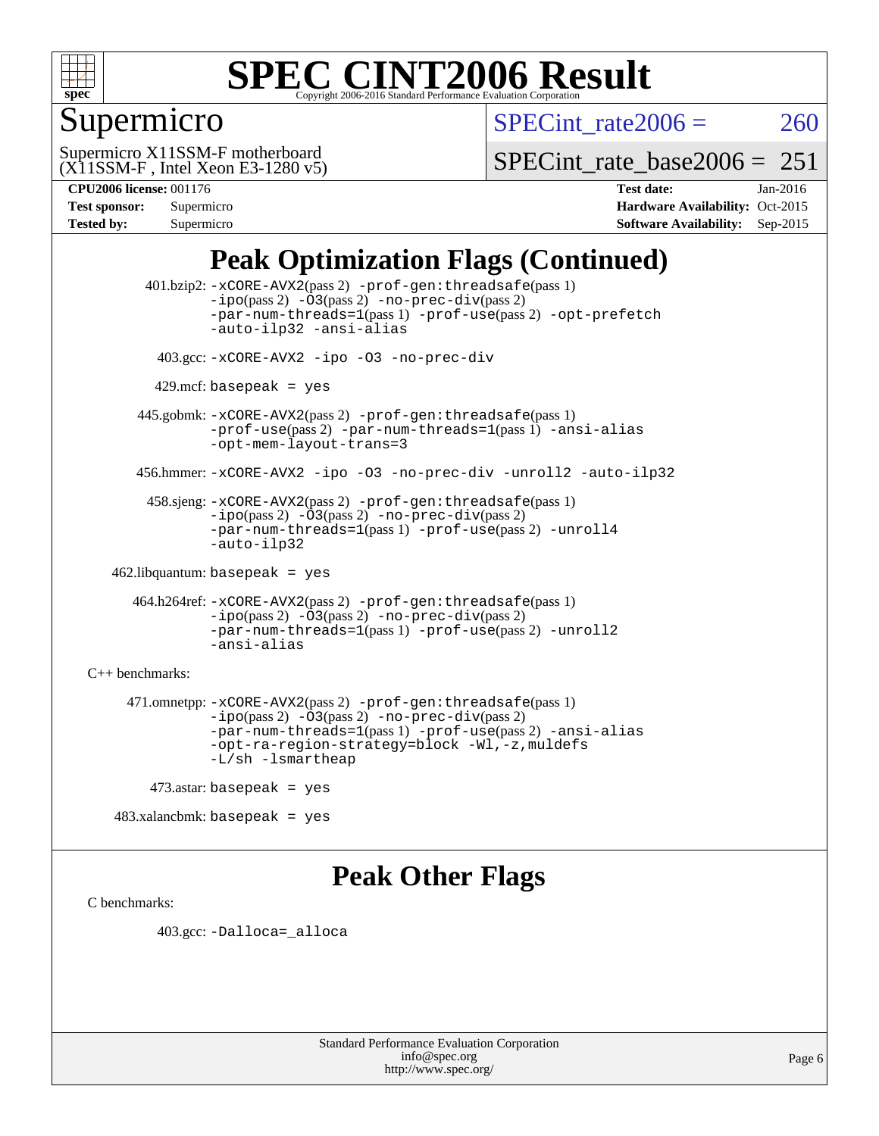

### Supermicro

SPECint rate $2006 = 260$ 

(X11SSM-F , Intel Xeon E3-1280 v5) Supermicro X11SSM-F motherboard

[SPECint\\_rate\\_base2006 =](http://www.spec.org/auto/cpu2006/Docs/result-fields.html#SPECintratebase2006)  $251$ 

| <b>Test sponsor:</b> | Supermicro |
|----------------------|------------|
| <b>Tested by:</b>    | Supermicro |

**[CPU2006 license:](http://www.spec.org/auto/cpu2006/Docs/result-fields.html#CPU2006license)** 001176 **[Test date:](http://www.spec.org/auto/cpu2006/Docs/result-fields.html#Testdate)** Jan-2016 **[Hardware Availability:](http://www.spec.org/auto/cpu2006/Docs/result-fields.html#HardwareAvailability)** Oct-2015 **[Software Availability:](http://www.spec.org/auto/cpu2006/Docs/result-fields.html#SoftwareAvailability)** Sep-2015

### **[Peak Optimization Flags \(Continued\)](http://www.spec.org/auto/cpu2006/Docs/result-fields.html#PeakOptimizationFlags)**

 401.bzip2: [-xCORE-AVX2](http://www.spec.org/cpu2006/results/res2016q1/cpu2006-20160120-38741.flags.html#user_peakPASS2_CFLAGSPASS2_LDCFLAGS401_bzip2_f-xAVX2_5f5fc0cbe2c9f62c816d3e45806c70d7)(pass 2) [-prof-gen:threadsafe](http://www.spec.org/cpu2006/results/res2016q1/cpu2006-20160120-38741.flags.html#user_peakPASS1_CFLAGSPASS1_LDCFLAGS401_bzip2_prof_gen_21a26eb79f378b550acd7bec9fe4467a)(pass 1)  $-i\text{po}(pass 2) -\text{O3}(pass 2)$  [-no-prec-div](http://www.spec.org/cpu2006/results/res2016q1/cpu2006-20160120-38741.flags.html#user_peakPASS2_CFLAGSPASS2_LDCFLAGS401_bzip2_f-no-prec-div)(pass 2) [-par-num-threads=1](http://www.spec.org/cpu2006/results/res2016q1/cpu2006-20160120-38741.flags.html#user_peakPASS1_CFLAGSPASS1_LDCFLAGS401_bzip2_par_num_threads_786a6ff141b4e9e90432e998842df6c2)(pass 1) [-prof-use](http://www.spec.org/cpu2006/results/res2016q1/cpu2006-20160120-38741.flags.html#user_peakPASS2_CFLAGSPASS2_LDCFLAGS401_bzip2_prof_use_bccf7792157ff70d64e32fe3e1250b55)(pass 2) [-opt-prefetch](http://www.spec.org/cpu2006/results/res2016q1/cpu2006-20160120-38741.flags.html#user_peakCOPTIMIZE401_bzip2_f-opt-prefetch) [-auto-ilp32](http://www.spec.org/cpu2006/results/res2016q1/cpu2006-20160120-38741.flags.html#user_peakCOPTIMIZE401_bzip2_f-auto-ilp32) [-ansi-alias](http://www.spec.org/cpu2006/results/res2016q1/cpu2006-20160120-38741.flags.html#user_peakCOPTIMIZE401_bzip2_f-ansi-alias) 403.gcc: [-xCORE-AVX2](http://www.spec.org/cpu2006/results/res2016q1/cpu2006-20160120-38741.flags.html#user_peakCOPTIMIZE403_gcc_f-xAVX2_5f5fc0cbe2c9f62c816d3e45806c70d7) [-ipo](http://www.spec.org/cpu2006/results/res2016q1/cpu2006-20160120-38741.flags.html#user_peakCOPTIMIZE403_gcc_f-ipo) [-O3](http://www.spec.org/cpu2006/results/res2016q1/cpu2006-20160120-38741.flags.html#user_peakCOPTIMIZE403_gcc_f-O3) [-no-prec-div](http://www.spec.org/cpu2006/results/res2016q1/cpu2006-20160120-38741.flags.html#user_peakCOPTIMIZE403_gcc_f-no-prec-div)  $429$ .mcf: basepeak = yes 445.gobmk: [-xCORE-AVX2](http://www.spec.org/cpu2006/results/res2016q1/cpu2006-20160120-38741.flags.html#user_peakPASS2_CFLAGSPASS2_LDCFLAGS445_gobmk_f-xAVX2_5f5fc0cbe2c9f62c816d3e45806c70d7)(pass 2) [-prof-gen:threadsafe](http://www.spec.org/cpu2006/results/res2016q1/cpu2006-20160120-38741.flags.html#user_peakPASS1_CFLAGSPASS1_LDCFLAGS445_gobmk_prof_gen_21a26eb79f378b550acd7bec9fe4467a)(pass 1) [-prof-use](http://www.spec.org/cpu2006/results/res2016q1/cpu2006-20160120-38741.flags.html#user_peakPASS2_CFLAGSPASS2_LDCFLAGS445_gobmk_prof_use_bccf7792157ff70d64e32fe3e1250b55)(pass 2) [-par-num-threads=1](http://www.spec.org/cpu2006/results/res2016q1/cpu2006-20160120-38741.flags.html#user_peakPASS1_CFLAGSPASS1_LDCFLAGS445_gobmk_par_num_threads_786a6ff141b4e9e90432e998842df6c2)(pass 1) [-ansi-alias](http://www.spec.org/cpu2006/results/res2016q1/cpu2006-20160120-38741.flags.html#user_peakCOPTIMIZE445_gobmk_f-ansi-alias) [-opt-mem-layout-trans=3](http://www.spec.org/cpu2006/results/res2016q1/cpu2006-20160120-38741.flags.html#user_peakCOPTIMIZE445_gobmk_f-opt-mem-layout-trans_a7b82ad4bd7abf52556d4961a2ae94d5) 456.hmmer: [-xCORE-AVX2](http://www.spec.org/cpu2006/results/res2016q1/cpu2006-20160120-38741.flags.html#user_peakCOPTIMIZE456_hmmer_f-xAVX2_5f5fc0cbe2c9f62c816d3e45806c70d7) [-ipo](http://www.spec.org/cpu2006/results/res2016q1/cpu2006-20160120-38741.flags.html#user_peakCOPTIMIZE456_hmmer_f-ipo) [-O3](http://www.spec.org/cpu2006/results/res2016q1/cpu2006-20160120-38741.flags.html#user_peakCOPTIMIZE456_hmmer_f-O3) [-no-prec-div](http://www.spec.org/cpu2006/results/res2016q1/cpu2006-20160120-38741.flags.html#user_peakCOPTIMIZE456_hmmer_f-no-prec-div) [-unroll2](http://www.spec.org/cpu2006/results/res2016q1/cpu2006-20160120-38741.flags.html#user_peakCOPTIMIZE456_hmmer_f-unroll_784dae83bebfb236979b41d2422d7ec2) [-auto-ilp32](http://www.spec.org/cpu2006/results/res2016q1/cpu2006-20160120-38741.flags.html#user_peakCOPTIMIZE456_hmmer_f-auto-ilp32) 458.sjeng: [-xCORE-AVX2](http://www.spec.org/cpu2006/results/res2016q1/cpu2006-20160120-38741.flags.html#user_peakPASS2_CFLAGSPASS2_LDCFLAGS458_sjeng_f-xAVX2_5f5fc0cbe2c9f62c816d3e45806c70d7)(pass 2) [-prof-gen:threadsafe](http://www.spec.org/cpu2006/results/res2016q1/cpu2006-20160120-38741.flags.html#user_peakPASS1_CFLAGSPASS1_LDCFLAGS458_sjeng_prof_gen_21a26eb79f378b550acd7bec9fe4467a)(pass 1)  $-i\text{po}(pass 2) -\overline{O}3(pass 2)$  [-no-prec-div](http://www.spec.org/cpu2006/results/res2016q1/cpu2006-20160120-38741.flags.html#user_peakPASS2_CFLAGSPASS2_LDCFLAGS458_sjeng_f-no-prec-div)(pass 2) [-par-num-threads=1](http://www.spec.org/cpu2006/results/res2016q1/cpu2006-20160120-38741.flags.html#user_peakPASS1_CFLAGSPASS1_LDCFLAGS458_sjeng_par_num_threads_786a6ff141b4e9e90432e998842df6c2)(pass 1) [-prof-use](http://www.spec.org/cpu2006/results/res2016q1/cpu2006-20160120-38741.flags.html#user_peakPASS2_CFLAGSPASS2_LDCFLAGS458_sjeng_prof_use_bccf7792157ff70d64e32fe3e1250b55)(pass 2) [-unroll4](http://www.spec.org/cpu2006/results/res2016q1/cpu2006-20160120-38741.flags.html#user_peakCOPTIMIZE458_sjeng_f-unroll_4e5e4ed65b7fd20bdcd365bec371b81f) [-auto-ilp32](http://www.spec.org/cpu2006/results/res2016q1/cpu2006-20160120-38741.flags.html#user_peakCOPTIMIZE458_sjeng_f-auto-ilp32) 462.libquantum: basepeak = yes 464.h264ref: [-xCORE-AVX2](http://www.spec.org/cpu2006/results/res2016q1/cpu2006-20160120-38741.flags.html#user_peakPASS2_CFLAGSPASS2_LDCFLAGS464_h264ref_f-xAVX2_5f5fc0cbe2c9f62c816d3e45806c70d7)(pass 2) [-prof-gen:threadsafe](http://www.spec.org/cpu2006/results/res2016q1/cpu2006-20160120-38741.flags.html#user_peakPASS1_CFLAGSPASS1_LDCFLAGS464_h264ref_prof_gen_21a26eb79f378b550acd7bec9fe4467a)(pass 1) [-ipo](http://www.spec.org/cpu2006/results/res2016q1/cpu2006-20160120-38741.flags.html#user_peakPASS2_CFLAGSPASS2_LDCFLAGS464_h264ref_f-ipo)(pass 2) [-O3](http://www.spec.org/cpu2006/results/res2016q1/cpu2006-20160120-38741.flags.html#user_peakPASS2_CFLAGSPASS2_LDCFLAGS464_h264ref_f-O3)(pass 2) [-no-prec-div](http://www.spec.org/cpu2006/results/res2016q1/cpu2006-20160120-38741.flags.html#user_peakPASS2_CFLAGSPASS2_LDCFLAGS464_h264ref_f-no-prec-div)(pass 2) [-par-num-threads=1](http://www.spec.org/cpu2006/results/res2016q1/cpu2006-20160120-38741.flags.html#user_peakPASS1_CFLAGSPASS1_LDCFLAGS464_h264ref_par_num_threads_786a6ff141b4e9e90432e998842df6c2)(pass 1) [-prof-use](http://www.spec.org/cpu2006/results/res2016q1/cpu2006-20160120-38741.flags.html#user_peakPASS2_CFLAGSPASS2_LDCFLAGS464_h264ref_prof_use_bccf7792157ff70d64e32fe3e1250b55)(pass 2) [-unroll2](http://www.spec.org/cpu2006/results/res2016q1/cpu2006-20160120-38741.flags.html#user_peakCOPTIMIZE464_h264ref_f-unroll_784dae83bebfb236979b41d2422d7ec2) [-ansi-alias](http://www.spec.org/cpu2006/results/res2016q1/cpu2006-20160120-38741.flags.html#user_peakCOPTIMIZE464_h264ref_f-ansi-alias) [C++ benchmarks:](http://www.spec.org/auto/cpu2006/Docs/result-fields.html#CXXbenchmarks) 471.omnetpp: [-xCORE-AVX2](http://www.spec.org/cpu2006/results/res2016q1/cpu2006-20160120-38741.flags.html#user_peakPASS2_CXXFLAGSPASS2_LDCXXFLAGS471_omnetpp_f-xAVX2_5f5fc0cbe2c9f62c816d3e45806c70d7)(pass 2) [-prof-gen:threadsafe](http://www.spec.org/cpu2006/results/res2016q1/cpu2006-20160120-38741.flags.html#user_peakPASS1_CXXFLAGSPASS1_LDCXXFLAGS471_omnetpp_prof_gen_21a26eb79f378b550acd7bec9fe4467a)(pass 1)  $-ipo(pass 2) -\overline{03(pass 2)}$  $-ipo(pass 2) -\overline{03(pass 2)}$  [-no-prec-div](http://www.spec.org/cpu2006/results/res2016q1/cpu2006-20160120-38741.flags.html#user_peakPASS2_CXXFLAGSPASS2_LDCXXFLAGS471_omnetpp_f-no-prec-div)(pass 2) [-par-num-threads=1](http://www.spec.org/cpu2006/results/res2016q1/cpu2006-20160120-38741.flags.html#user_peakPASS1_CXXFLAGSPASS1_LDCXXFLAGS471_omnetpp_par_num_threads_786a6ff141b4e9e90432e998842df6c2)(pass 1) [-prof-use](http://www.spec.org/cpu2006/results/res2016q1/cpu2006-20160120-38741.flags.html#user_peakPASS2_CXXFLAGSPASS2_LDCXXFLAGS471_omnetpp_prof_use_bccf7792157ff70d64e32fe3e1250b55)(pass 2) [-ansi-alias](http://www.spec.org/cpu2006/results/res2016q1/cpu2006-20160120-38741.flags.html#user_peakCXXOPTIMIZE471_omnetpp_f-ansi-alias) [-opt-ra-region-strategy=block](http://www.spec.org/cpu2006/results/res2016q1/cpu2006-20160120-38741.flags.html#user_peakCXXOPTIMIZE471_omnetpp_f-opt-ra-region-strategy_a0a37c372d03933b2a18d4af463c1f69) [-Wl,-z,muldefs](http://www.spec.org/cpu2006/results/res2016q1/cpu2006-20160120-38741.flags.html#user_peakEXTRA_LDFLAGS471_omnetpp_link_force_multiple1_74079c344b956b9658436fd1b6dd3a8a) [-L/sh -lsmartheap](http://www.spec.org/cpu2006/results/res2016q1/cpu2006-20160120-38741.flags.html#user_peakEXTRA_LIBS471_omnetpp_SmartHeap_32f6c82aa1ed9c52345d30cf6e4a0499) 473.astar: basepeak = yes

### **[Peak Other Flags](http://www.spec.org/auto/cpu2006/Docs/result-fields.html#PeakOtherFlags)**

[C benchmarks](http://www.spec.org/auto/cpu2006/Docs/result-fields.html#Cbenchmarks):

403.gcc: [-Dalloca=\\_alloca](http://www.spec.org/cpu2006/results/res2016q1/cpu2006-20160120-38741.flags.html#b403.gcc_peakEXTRA_CFLAGS_Dalloca_be3056838c12de2578596ca5467af7f3)

483.xalancbmk: basepeak = yes